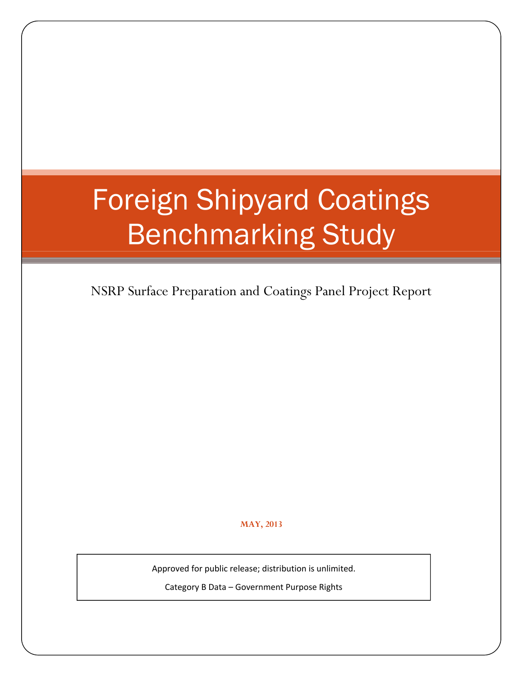# Foreign Shipyard Coatings Benchmarking Study

NSRP Surface Preparation and Coatings Panel Project Report

**MAY, 2013**

Approved for public release; distribution is unlimited.

Category B Data – Government Purpose Rights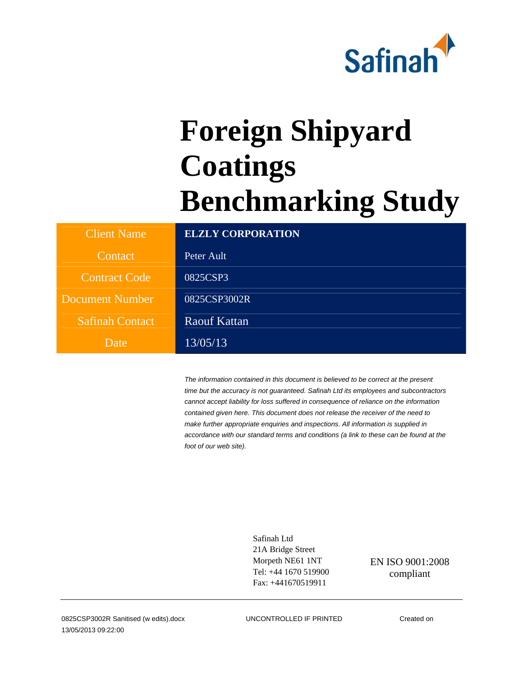

# **Foreign Shipyard Coatings Benchmarking Study**

| <b>Client Name</b>     | <b>ELZLY CORPORATION</b> |
|------------------------|--------------------------|
| Contact                | Peter Ault               |
| <b>Contract Code</b>   | 0825CSP3                 |
| <b>Document Number</b> | 0825CSP3002R             |
| <b>Safinah Contact</b> | Raouf Kattan             |
| Date                   | 13/05/13                 |

*The information contained in this document is believed to be correct at the present time but the accuracy is not guaranteed. Safinah Ltd its employees and subcontractors cannot accept liability for loss suffered in consequence of reliance on the information contained given here. This document does not release the receiver of the need to make further appropriate enquiries and inspections. All information is supplied in accordance with our standard terms and conditions (a link to these can be found at the foot of our web site).* 

> Safinah Ltd 21A Bridge Street Morpeth NE61 1NT Tel: +44 1670 519900 Fax: +441670519911

EN ISO 9001:2008 compliant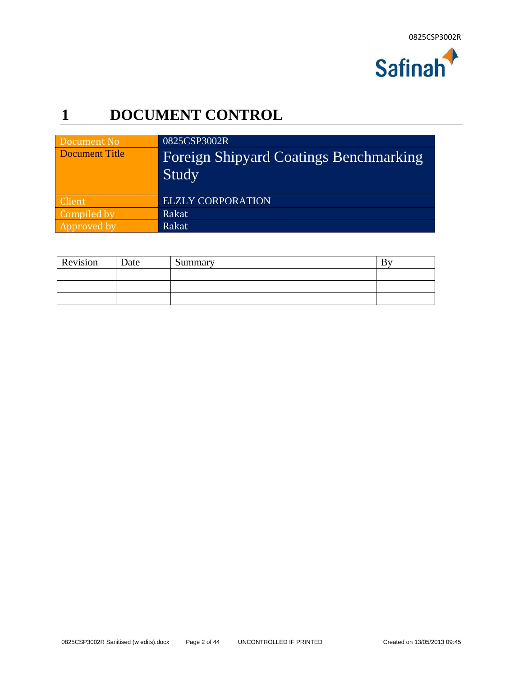

### **1 DOCUMENT CONTROL**

| Document No    | 0825CSP3002R                                           |
|----------------|--------------------------------------------------------|
| Document Title | <b>Foreign Shipyard Coatings Benchmarking</b><br>Study |
| Client         | <b>ELZLY CORPORATION</b>                               |
| Compiled by    | Rakat                                                  |
| Approved by    | Rakat                                                  |

| Revision | Date | Summary |  |
|----------|------|---------|--|
|          |      |         |  |
|          |      |         |  |
|          |      |         |  |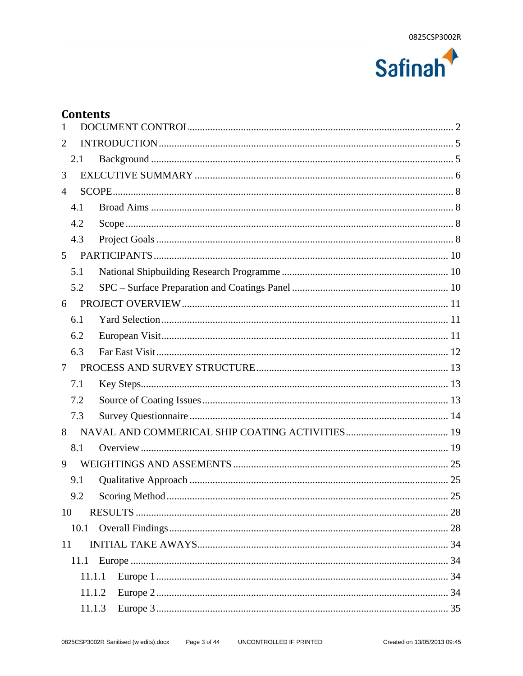

#### **Contents**

| $\mathbf{1}$   |  |
|----------------|--|
| 2              |  |
| 2.1            |  |
| 3              |  |
| $\overline{4}$ |  |
| 4.1            |  |
| 4.2            |  |
| 4.3            |  |
| 5              |  |
| 5.1            |  |
| 5.2            |  |
| 6              |  |
| 6.1            |  |
| 6.2            |  |
| 6.3            |  |
| $\tau$         |  |
| 7.1            |  |
| 7.2            |  |
| 7.3            |  |
| 8              |  |
| 8.1            |  |
| 9              |  |
| 9.1            |  |
| 9.2            |  |
| 10             |  |
|                |  |
| 11             |  |
| 11.1           |  |
| 11.1.1         |  |
| 11.1.2         |  |
| 11.1.3         |  |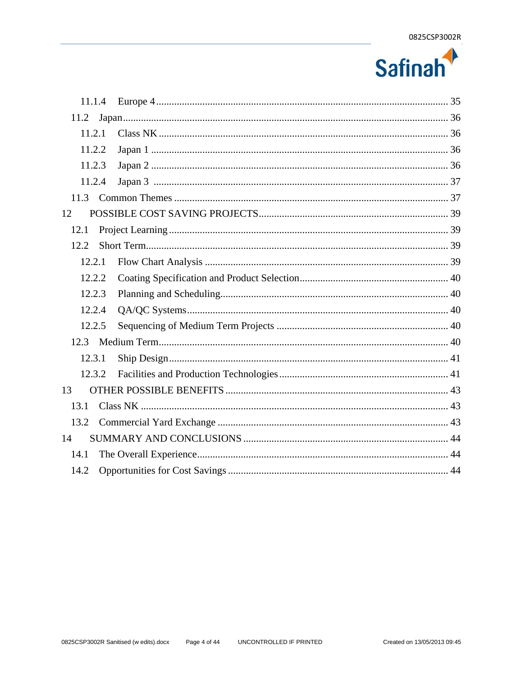

| 11.1.4 |  |
|--------|--|
| 11.2   |  |
| 11.2.1 |  |
| 11.2.2 |  |
| 11.2.3 |  |
| 11.2.4 |  |
|        |  |
| 12     |  |
| 12.1   |  |
| 12.2   |  |
| 12.2.1 |  |
| 12.2.2 |  |
| 12.2.3 |  |
| 12.2.4 |  |
| 12.2.5 |  |
|        |  |
| 12.3.1 |  |
| 12.3.2 |  |
| 13     |  |
| 13.1   |  |
| 13.2   |  |
| 14     |  |
| 14.1   |  |
| 14.2   |  |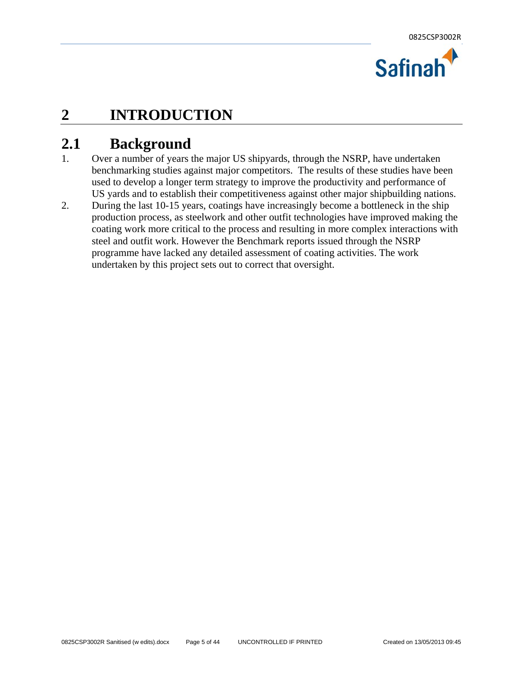

### **2 INTRODUCTION**

### **2.1 Background**

- 1. Over a number of years the major US shipyards, through the NSRP, have undertaken benchmarking studies against major competitors. The results of these studies have been used to develop a longer term strategy to improve the productivity and performance of US yards and to establish their competitiveness against other major shipbuilding nations.
- 2. During the last 10-15 years, coatings have increasingly become a bottleneck in the ship production process, as steelwork and other outfit technologies have improved making the coating work more critical to the process and resulting in more complex interactions with steel and outfit work. However the Benchmark reports issued through the NSRP programme have lacked any detailed assessment of coating activities. The work undertaken by this project sets out to correct that oversight.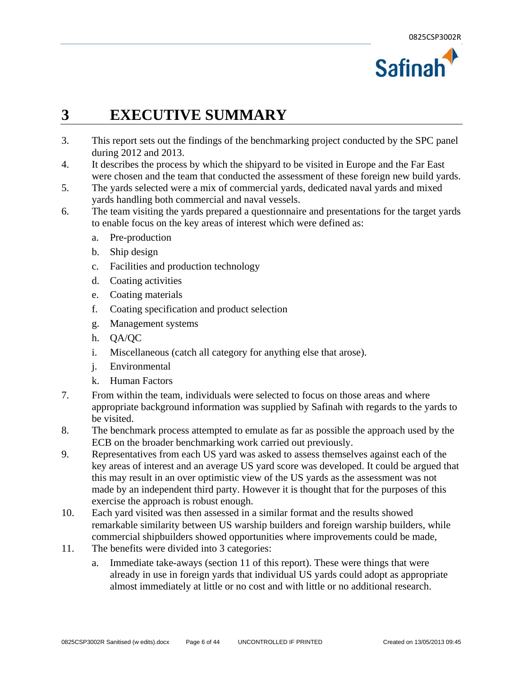

### **3 EXECUTIVE SUMMARY**

- 3. This report sets out the findings of the benchmarking project conducted by the SPC panel during 2012 and 2013.
- 4. It describes the process by which the shipyard to be visited in Europe and the Far East were chosen and the team that conducted the assessment of these foreign new build yards.
- 5. The yards selected were a mix of commercial yards, dedicated naval yards and mixed yards handling both commercial and naval vessels.
- 6. The team visiting the yards prepared a questionnaire and presentations for the target yards to enable focus on the key areas of interest which were defined as:
	- a. Pre-production
	- b. Ship design
	- c. Facilities and production technology
	- d. Coating activities
	- e. Coating materials
	- f. Coating specification and product selection
	- g. Management systems
	- h. QA/QC
	- i. Miscellaneous (catch all category for anything else that arose).
	- j. Environmental
	- k. Human Factors
- 7. From within the team, individuals were selected to focus on those areas and where appropriate background information was supplied by Safinah with regards to the yards to be visited.
- 8. The benchmark process attempted to emulate as far as possible the approach used by the ECB on the broader benchmarking work carried out previously.
- 9. Representatives from each US yard was asked to assess themselves against each of the key areas of interest and an average US yard score was developed. It could be argued that this may result in an over optimistic view of the US yards as the assessment was not made by an independent third party. However it is thought that for the purposes of this exercise the approach is robust enough.
- 10. Each yard visited was then assessed in a similar format and the results showed remarkable similarity between US warship builders and foreign warship builders, while commercial shipbuilders showed opportunities where improvements could be made,
- 11. The benefits were divided into 3 categories:
	- a. Immediate take-aways (section 11 of this report). These were things that were already in use in foreign yards that individual US yards could adopt as appropriate almost immediately at little or no cost and with little or no additional research.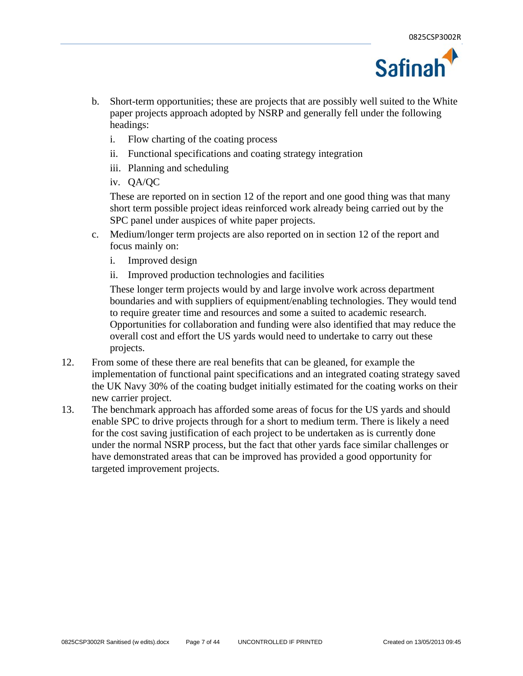

- b. Short-term opportunities; these are projects that are possibly well suited to the White paper projects approach adopted by NSRP and generally fell under the following headings:
	- i. Flow charting of the coating process
	- ii. Functional specifications and coating strategy integration
	- iii. Planning and scheduling
	- iv. QA/QC

These are reported on in section 12 of the report and one good thing was that many short term possible project ideas reinforced work already being carried out by the SPC panel under auspices of white paper projects.

- c. Medium/longer term projects are also reported on in section 12 of the report and focus mainly on:
	- i. Improved design
	- ii. Improved production technologies and facilities

These longer term projects would by and large involve work across department boundaries and with suppliers of equipment/enabling technologies. They would tend to require greater time and resources and some a suited to academic research. Opportunities for collaboration and funding were also identified that may reduce the overall cost and effort the US yards would need to undertake to carry out these projects.

- 12. From some of these there are real benefits that can be gleaned, for example the implementation of functional paint specifications and an integrated coating strategy saved the UK Navy 30% of the coating budget initially estimated for the coating works on their new carrier project.
- 13. The benchmark approach has afforded some areas of focus for the US yards and should enable SPC to drive projects through for a short to medium term. There is likely a need for the cost saving justification of each project to be undertaken as is currently done under the normal NSRP process, but the fact that other yards face similar challenges or have demonstrated areas that can be improved has provided a good opportunity for targeted improvement projects.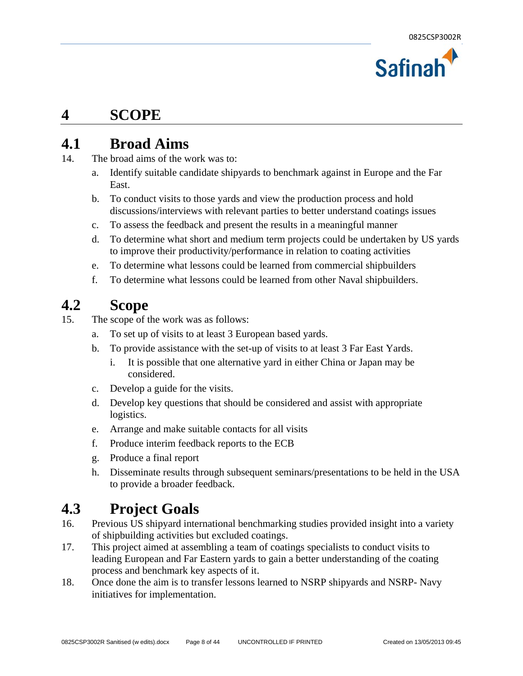

#### **4 SCOPE**

#### **4.1 Broad Aims**

- 14. The broad aims of the work was to:
	- a. Identify suitable candidate shipyards to benchmark against in Europe and the Far East.
	- b. To conduct visits to those yards and view the production process and hold discussions/interviews with relevant parties to better understand coatings issues
	- c. To assess the feedback and present the results in a meaningful manner
	- d. To determine what short and medium term projects could be undertaken by US yards to improve their productivity/performance in relation to coating activities
	- e. To determine what lessons could be learned from commercial shipbuilders
	- f. To determine what lessons could be learned from other Naval shipbuilders.

### **4.2 Scope**

- 15. The scope of the work was as follows:
	- a. To set up of visits to at least 3 European based yards.
	- b. To provide assistance with the set-up of visits to at least 3 Far East Yards.
		- i. It is possible that one alternative yard in either China or Japan may be considered.
	- c. Develop a guide for the visits.
	- d. Develop key questions that should be considered and assist with appropriate logistics.
	- e. Arrange and make suitable contacts for all visits
	- f. Produce interim feedback reports to the ECB
	- g. Produce a final report
	- h. Disseminate results through subsequent seminars/presentations to be held in the USA to provide a broader feedback.

### **4.3 Project Goals**

- 16. Previous US shipyard international benchmarking studies provided insight into a variety of shipbuilding activities but excluded coatings.
- 17. This project aimed at assembling a team of coatings specialists to conduct visits to leading European and Far Eastern yards to gain a better understanding of the coating process and benchmark key aspects of it.
- 18. Once done the aim is to transfer lessons learned to NSRP shipyards and NSRP- Navy initiatives for implementation.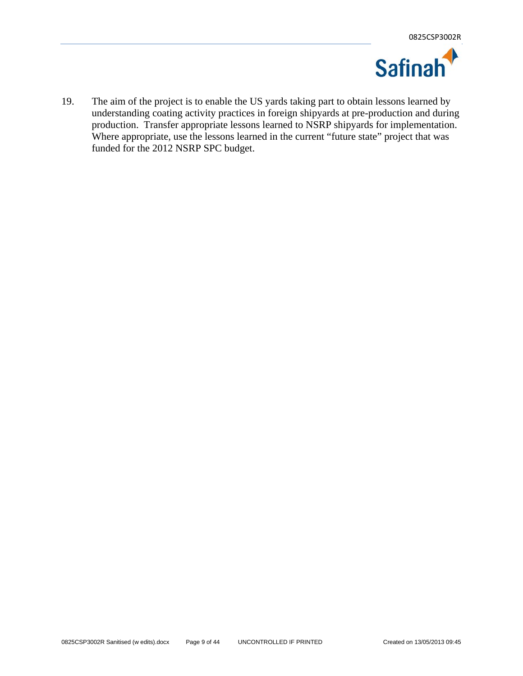

19. The aim of the project is to enable the US yards taking part to obtain lessons learned by understanding coating activity practices in foreign shipyards at pre-production and during production. Transfer appropriate lessons learned to NSRP shipyards for implementation. Where appropriate, use the lessons learned in the current "future state" project that was funded for the 2012 NSRP SPC budget.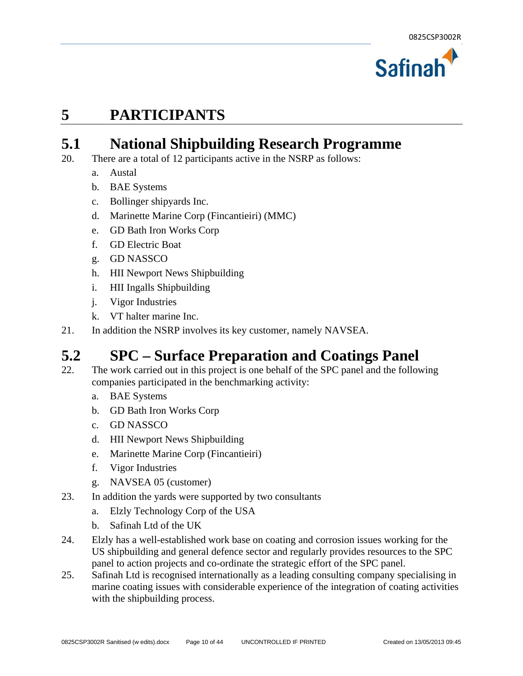

### **5 PARTICIPANTS**

### **5.1 National Shipbuilding Research Programme**

- 20. There are a total of 12 participants active in the NSRP as follows:
	- a. Austal
	- b. BAE Systems
	- c. Bollinger shipyards Inc.
	- d. Marinette Marine Corp (Fincantieiri) (MMC)
	- e. GD Bath Iron Works Corp
	- f. GD Electric Boat
	- g. GD NASSCO
	- h. HII Newport News Shipbuilding
	- i. HII Ingalls Shipbuilding
	- j. Vigor Industries
	- k. VT halter marine Inc.
- 21. In addition the NSRP involves its key customer, namely NAVSEA.

#### **5.2 SPC – Surface Preparation and Coatings Panel**

- 22. The work carried out in this project is one behalf of the SPC panel and the following companies participated in the benchmarking activity:
	- a. BAE Systems
	- b. GD Bath Iron Works Corp
	- c. GD NASSCO
	- d. HII Newport News Shipbuilding
	- e. Marinette Marine Corp (Fincantieiri)
	- f. Vigor Industries
	- g. NAVSEA 05 (customer)
- 23. In addition the yards were supported by two consultants
	- a. Elzly Technology Corp of the USA
	- b. Safinah Ltd of the UK
- 24. Elzly has a well-established work base on coating and corrosion issues working for the US shipbuilding and general defence sector and regularly provides resources to the SPC panel to action projects and co-ordinate the strategic effort of the SPC panel.
- 25. Safinah Ltd is recognised internationally as a leading consulting company specialising in marine coating issues with considerable experience of the integration of coating activities with the shipbuilding process.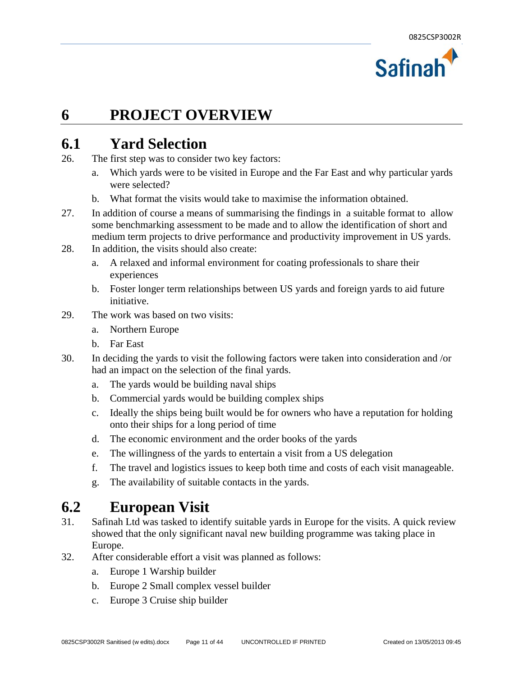

#### **6 PROJECT OVERVIEW**

#### **6.1 Yard Selection**

- 26. The first step was to consider two key factors:
	- a. Which yards were to be visited in Europe and the Far East and why particular yards were selected?
	- b. What format the visits would take to maximise the information obtained.
- 27. In addition of course a means of summarising the findings in a suitable format to allow some benchmarking assessment to be made and to allow the identification of short and medium term projects to drive performance and productivity improvement in US yards.
- 28. In addition, the visits should also create:
	- a. A relaxed and informal environment for coating professionals to share their experiences
	- b. Foster longer term relationships between US yards and foreign yards to aid future initiative.
- 29. The work was based on two visits:
	- a. Northern Europe
	- b. Far East
- 30. In deciding the yards to visit the following factors were taken into consideration and /or had an impact on the selection of the final yards.
	- a. The yards would be building naval ships
	- b. Commercial yards would be building complex ships
	- c. Ideally the ships being built would be for owners who have a reputation for holding onto their ships for a long period of time
	- d. The economic environment and the order books of the yards
	- e. The willingness of the yards to entertain a visit from a US delegation
	- f. The travel and logistics issues to keep both time and costs of each visit manageable.
	- g. The availability of suitable contacts in the yards.

#### **6.2 European Visit**

- 31. Safinah Ltd was tasked to identify suitable yards in Europe for the visits. A quick review showed that the only significant naval new building programme was taking place in Europe.
- 32. After considerable effort a visit was planned as follows:
	- a. Europe 1 Warship builder
	- b. Europe 2 Small complex vessel builder
	- c. Europe 3 Cruise ship builder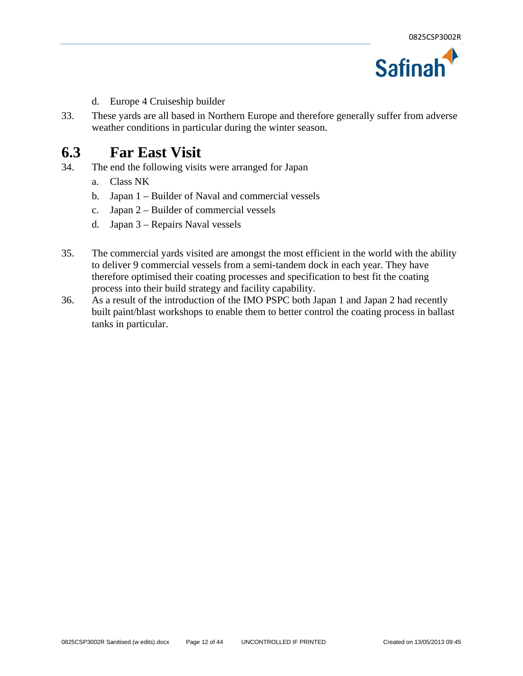

- d. Europe 4 Cruiseship builder
- 33. These yards are all based in Northern Europe and therefore generally suffer from adverse weather conditions in particular during the winter season.

## **6.3 Far East Visit**<br><sup>34</sup> The end the following visit

- The end the following visits were arranged for Japan
	- a. Class NK
	- b. Japan 1 Builder of Naval and commercial vessels
	- c. Japan 2 Builder of commercial vessels
	- d. Japan 3 Repairs Naval vessels
- 35. The commercial yards visited are amongst the most efficient in the world with the ability to deliver 9 commercial vessels from a semi-tandem dock in each year. They have therefore optimised their coating processes and specification to best fit the coating process into their build strategy and facility capability.
- 36. As a result of the introduction of the IMO PSPC both Japan 1 and Japan 2 had recently built paint/blast workshops to enable them to better control the coating process in ballast tanks in particular.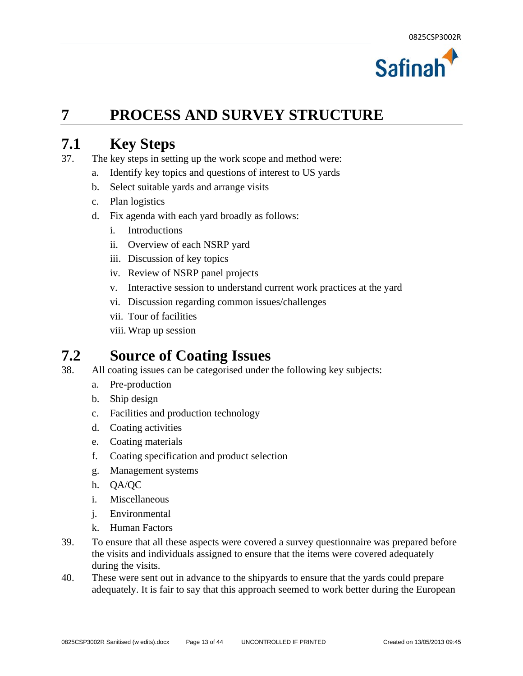

### **7 PROCESS AND SURVEY STRUCTURE**

#### **7.1 Key Steps**

- 37. The key steps in setting up the work scope and method were:
	- a. Identify key topics and questions of interest to US yards
	- b. Select suitable yards and arrange visits
	- c. Plan logistics
	- d. Fix agenda with each yard broadly as follows:
		- i. Introductions
		- ii. Overview of each NSRP yard
		- iii. Discussion of key topics
		- iv. Review of NSRP panel projects
		- v. Interactive session to understand current work practices at the yard
		- vi. Discussion regarding common issues/challenges
		- vii. Tour of facilities
		- viii. Wrap up session

#### **7.2 Source of Coating Issues**

- 38. All coating issues can be categorised under the following key subjects:
	- a. Pre-production
	- b. Ship design
	- c. Facilities and production technology
	- d. Coating activities
	- e. Coating materials
	- f. Coating specification and product selection
	- g. Management systems
	- h. QA/QC
	- i. Miscellaneous
	- j. Environmental
	- k. Human Factors
- 39. To ensure that all these aspects were covered a survey questionnaire was prepared before the visits and individuals assigned to ensure that the items were covered adequately during the visits.
- 40. These were sent out in advance to the shipyards to ensure that the yards could prepare adequately. It is fair to say that this approach seemed to work better during the European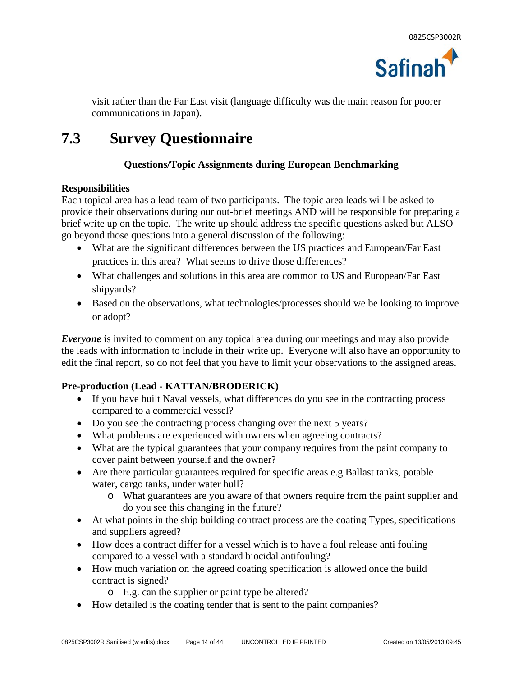

visit rather than the Far East visit (language difficulty was the main reason for poorer communications in Japan).

### **7.3 Survey Questionnaire**

#### **Questions/Topic Assignments during European Benchmarking**

#### **Responsibilities**

Each topical area has a lead team of two participants. The topic area leads will be asked to provide their observations during our out-brief meetings AND will be responsible for preparing a brief write up on the topic. The write up should address the specific questions asked but ALSO go beyond those questions into a general discussion of the following:

- What are the significant differences between the US practices and European/Far East practices in this area? What seems to drive those differences?
- What challenges and solutions in this area are common to US and European/Far East shipyards?
- Based on the observations, what technologies/processes should we be looking to improve or adopt?

*Everyone* is invited to comment on any topical area during our meetings and may also provide the leads with information to include in their write up. Everyone will also have an opportunity to edit the final report, so do not feel that you have to limit your observations to the assigned areas.

#### **Pre-production (Lead - KATTAN/BRODERICK)**

- If you have built Naval vessels, what differences do you see in the contracting process compared to a commercial vessel?
- Do you see the contracting process changing over the next 5 years?
- What problems are experienced with owners when agreeing contracts?
- What are the typical guarantees that your company requires from the paint company to cover paint between yourself and the owner?
- Are there particular guarantees required for specific areas e.g Ballast tanks, potable water, cargo tanks, under water hull?
	- o What guarantees are you aware of that owners require from the paint supplier and do you see this changing in the future?
- At what points in the ship building contract process are the coating Types, specifications and suppliers agreed?
- How does a contract differ for a vessel which is to have a foul release anti fouling compared to a vessel with a standard biocidal antifouling?
- How much variation on the agreed coating specification is allowed once the build contract is signed?
	- o E.g. can the supplier or paint type be altered?
- How detailed is the coating tender that is sent to the paint companies?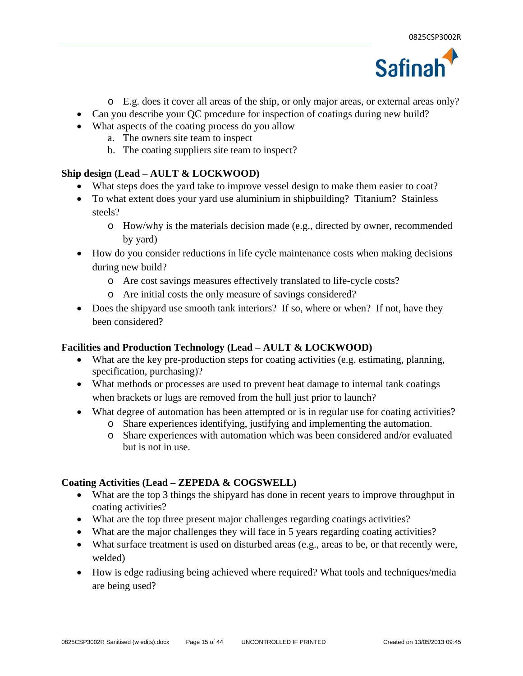

- o E.g. does it cover all areas of the ship, or only major areas, or external areas only?
- Can you describe your QC procedure for inspection of coatings during new build?
- What aspects of the coating process do you allow
	- a. The owners site team to inspect
	- b. The coating suppliers site team to inspect?

#### **Ship design (Lead – AULT & LOCKWOOD)**

- What steps does the yard take to improve vessel design to make them easier to coat?
- To what extent does your yard use aluminium in shipbuilding? Titanium? Stainless steels?
	- o How/why is the materials decision made (e.g., directed by owner, recommended by yard)
- How do you consider reductions in life cycle maintenance costs when making decisions during new build?
	- o Are cost savings measures effectively translated to life-cycle costs?
	- o Are initial costs the only measure of savings considered?
- Does the shipyard use smooth tank interiors? If so, where or when? If not, have they been considered?

#### **Facilities and Production Technology (Lead – AULT & LOCKWOOD)**

- What are the key pre-production steps for coating activities (e.g. estimating, planning, specification, purchasing)?
- What methods or processes are used to prevent heat damage to internal tank coatings when brackets or lugs are removed from the hull just prior to launch?
- What degree of automation has been attempted or is in regular use for coating activities?
	- o Share experiences identifying, justifying and implementing the automation.
	- o Share experiences with automation which was been considered and/or evaluated but is not in use.

#### **Coating Activities (Lead – ZEPEDA & COGSWELL)**

- What are the top 3 things the shipyard has done in recent years to improve throughput in coating activities?
- What are the top three present major challenges regarding coatings activities?
- What are the major challenges they will face in 5 years regarding coating activities?
- What surface treatment is used on disturbed areas (e.g., areas to be, or that recently were, welded)
- How is edge radiusing being achieved where required? What tools and techniques/media are being used?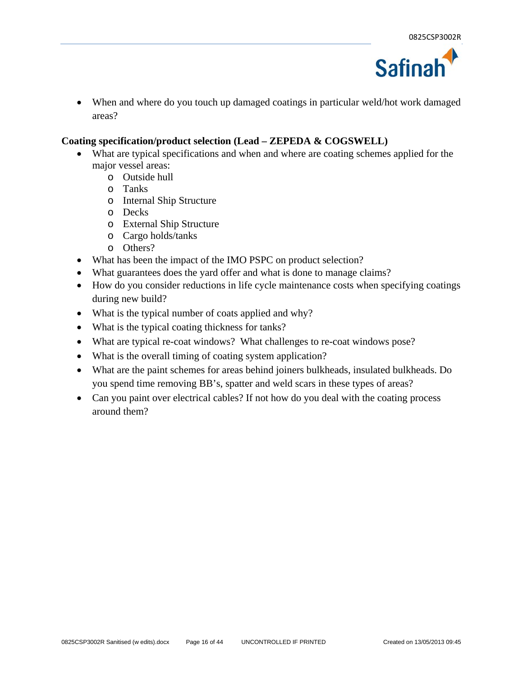

 When and where do you touch up damaged coatings in particular weld/hot work damaged areas?

#### **Coating specification/product selection (Lead – ZEPEDA & COGSWELL)**

- What are typical specifications and when and where are coating schemes applied for the major vessel areas:
	- o Outside hull
	- o Tanks
	- o Internal Ship Structure
	- o Decks
	- o External Ship Structure
	- o Cargo holds/tanks
	- o Others?
- What has been the impact of the IMO PSPC on product selection?
- What guarantees does the yard offer and what is done to manage claims?
- How do you consider reductions in life cycle maintenance costs when specifying coatings during new build?
- What is the typical number of coats applied and why?
- What is the typical coating thickness for tanks?
- What are typical re-coat windows? What challenges to re-coat windows pose?
- What is the overall timing of coating system application?
- What are the paint schemes for areas behind joiners bulkheads, insulated bulkheads. Do you spend time removing BB's, spatter and weld scars in these types of areas?
- Can you paint over electrical cables? If not how do you deal with the coating process around them?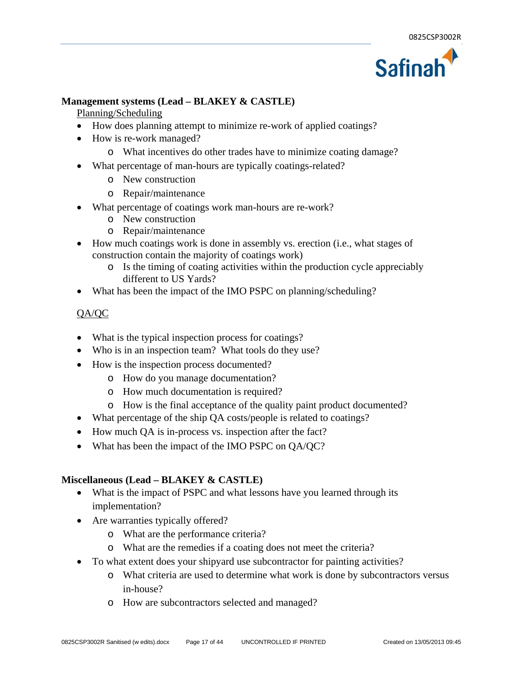

#### **Management systems (Lead – BLAKEY & CASTLE)**

Planning/Scheduling

- How does planning attempt to minimize re-work of applied coatings?
- How is re-work managed?
	- o What incentives do other trades have to minimize coating damage?
- What percentage of man-hours are typically coatings-related?
	- o New construction
	- o Repair/maintenance
- What percentage of coatings work man-hours are re-work?
	- o New construction
	- o Repair/maintenance
- How much coatings work is done in assembly vs. erection (i.e., what stages of construction contain the majority of coatings work)
	- o Is the timing of coating activities within the production cycle appreciably different to US Yards?
- What has been the impact of the IMO PSPC on planning/scheduling?

#### QA/QC

- What is the typical inspection process for coatings?
- Who is in an inspection team? What tools do they use?
- How is the inspection process documented?
	- o How do you manage documentation?
	- o How much documentation is required?
	- o How is the final acceptance of the quality paint product documented?
- What percentage of the ship QA costs/people is related to coatings?
- How much QA is in-process vs. inspection after the fact?
- What has been the impact of the IMO PSPC on QA/QC?

#### **Miscellaneous (Lead – BLAKEY & CASTLE)**

- What is the impact of PSPC and what lessons have you learned through its implementation?
- Are warranties typically offered?
	- o What are the performance criteria?
	- o What are the remedies if a coating does not meet the criteria?
- To what extent does your shipyard use subcontractor for painting activities?
	- o What criteria are used to determine what work is done by subcontractors versus in-house?
	- o How are subcontractors selected and managed?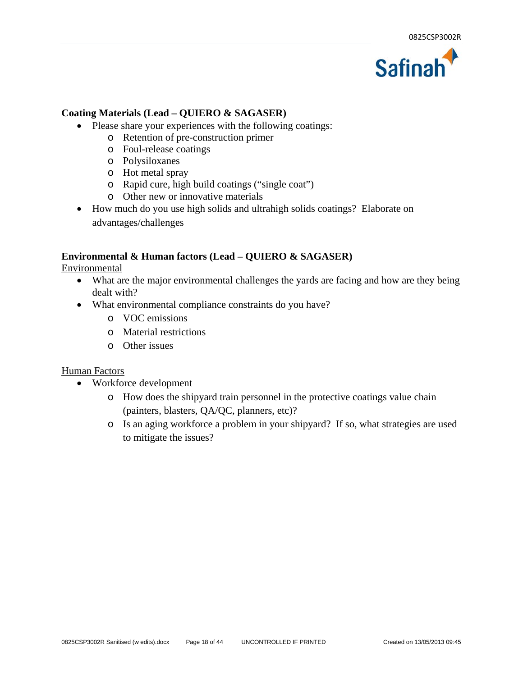

#### **Coating Materials (Lead – QUIERO & SAGASER)**

- Please share your experiences with the following coatings:
	- o Retention of pre-construction primer
	- o Foul-release coatings
	- o Polysiloxanes
	- o Hot metal spray
	- o Rapid cure, high build coatings ("single coat")
	- o Other new or innovative materials
- How much do you use high solids and ultrahigh solids coatings? Elaborate on advantages/challenges

#### **Environmental & Human factors (Lead – QUIERO & SAGASER)**

Environmental

- What are the major environmental challenges the yards are facing and how are they being dealt with?
- What environmental compliance constraints do you have?
	- o VOC emissions
	- o Material restrictions
	- o Other issues

#### Human Factors

- Workforce development
	- o How does the shipyard train personnel in the protective coatings value chain (painters, blasters, QA/QC, planners, etc)?
	- o Is an aging workforce a problem in your shipyard? If so, what strategies are used to mitigate the issues?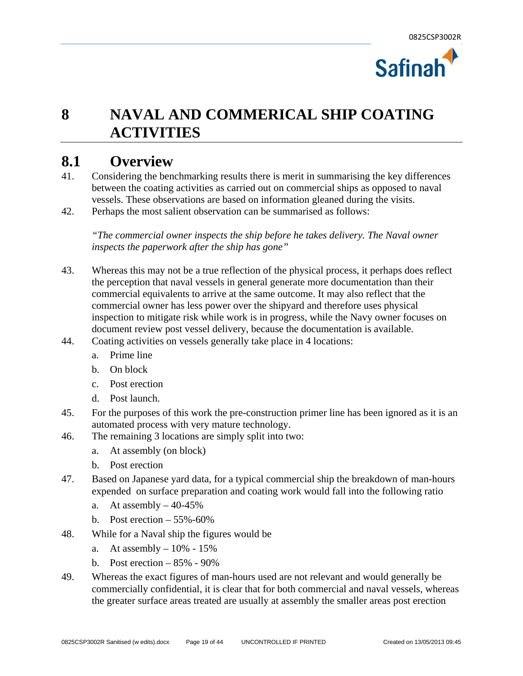

### **8 NAVAL AND COMMERICAL SHIP COATING ACTIVITIES**

## **8.1 Overview 41 Considering the ben**

- 41. Considering the benchmarking results there is merit in summarising the key differences between the coating activities as carried out on commercial ships as opposed to naval vessels. These observations are based on information gleaned during the visits.
- 42. Perhaps the most salient observation can be summarised as follows:

*"The commercial owner inspects the ship before he takes delivery. The Naval owner inspects the paperwork after the ship has gone"* 

- 43. Whereas this may not be a true reflection of the physical process, it perhaps does reflect the perception that naval vessels in general generate more documentation than their commercial equivalents to arrive at the same outcome. It may also reflect that the commercial owner has less power over the shipyard and therefore uses physical inspection to mitigate risk while work is in progress, while the Navy owner focuses on document review post vessel delivery, because the documentation is available.
- 44. Coating activities on vessels generally take place in 4 locations:
	- a. Prime line
	- b. On block
	- c. Post erection
	- d. Post launch.
- 45. For the purposes of this work the pre-construction primer line has been ignored as it is an automated process with very mature technology.
- 46. The remaining 3 locations are simply split into two:
	- a. At assembly (on block)
	- b. Post erection
- 47. Based on Japanese yard data, for a typical commercial ship the breakdown of man-hours expended on surface preparation and coating work would fall into the following ratio
	- a. At assembly  $-40-45%$
	- b. Post erection  $-55\% -60\%$
- 48. While for a Naval ship the figures would be
	- a. At assembly  $-10\% 15\%$
	- b. Post erection  $-85% 90%$
- 49. Whereas the exact figures of man-hours used are not relevant and would generally be commercially confidential, it is clear that for both commercial and naval vessels, whereas the greater surface areas treated are usually at assembly the smaller areas post erection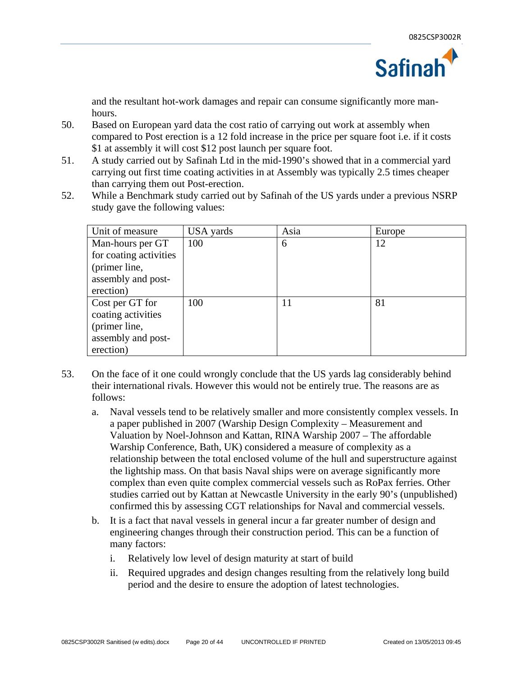

and the resultant hot-work damages and repair can consume significantly more manhours.

- 50. Based on European yard data the cost ratio of carrying out work at assembly when compared to Post erection is a 12 fold increase in the price per square foot i.e. if it costs \$1 at assembly it will cost \$12 post launch per square foot.
- 51. A study carried out by Safinah Ltd in the mid-1990's showed that in a commercial yard carrying out first time coating activities in at Assembly was typically 2.5 times cheaper than carrying them out Post-erection.
- 52. While a Benchmark study carried out by Safinah of the US yards under a previous NSRP study gave the following values:

| Unit of measure        | USA yards | Asia | Europe |
|------------------------|-----------|------|--------|
| Man-hours per GT       | 100       | 6    | 12     |
| for coating activities |           |      |        |
| (primer line,          |           |      |        |
| assembly and post-     |           |      |        |
| erection)              |           |      |        |
| Cost per GT for        | 100       | 11   | 81     |
| coating activities     |           |      |        |
| (primer line,          |           |      |        |
| assembly and post-     |           |      |        |
| erection)              |           |      |        |

- 53. On the face of it one could wrongly conclude that the US yards lag considerably behind their international rivals. However this would not be entirely true. The reasons are as follows:
	- a. Naval vessels tend to be relatively smaller and more consistently complex vessels. In a paper published in 2007 (Warship Design Complexity – Measurement and Valuation by Noel-Johnson and Kattan, RINA Warship 2007 – The affordable Warship Conference, Bath, UK) considered a measure of complexity as a relationship between the total enclosed volume of the hull and superstructure against the lightship mass. On that basis Naval ships were on average significantly more complex than even quite complex commercial vessels such as RoPax ferries. Other studies carried out by Kattan at Newcastle University in the early 90's (unpublished) confirmed this by assessing CGT relationships for Naval and commercial vessels.
	- b. It is a fact that naval vessels in general incur a far greater number of design and engineering changes through their construction period. This can be a function of many factors:
		- i. Relatively low level of design maturity at start of build
		- ii. Required upgrades and design changes resulting from the relatively long build period and the desire to ensure the adoption of latest technologies.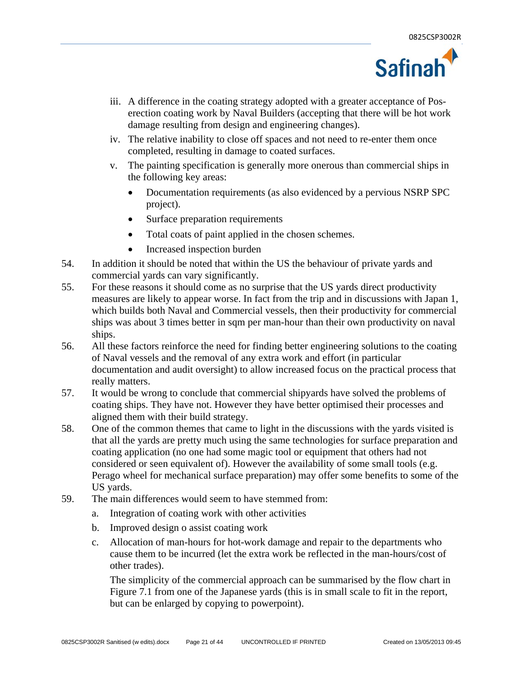

- iii. A difference in the coating strategy adopted with a greater acceptance of Poserection coating work by Naval Builders (accepting that there will be hot work damage resulting from design and engineering changes).
- iv. The relative inability to close off spaces and not need to re-enter them once completed, resulting in damage to coated surfaces.
- v. The painting specification is generally more onerous than commercial ships in the following key areas:
	- Documentation requirements (as also evidenced by a pervious NSRP SPC project).
	- Surface preparation requirements
	- Total coats of paint applied in the chosen schemes.
	- Increased inspection burden
- 54. In addition it should be noted that within the US the behaviour of private yards and commercial yards can vary significantly.
- 55. For these reasons it should come as no surprise that the US yards direct productivity measures are likely to appear worse. In fact from the trip and in discussions with Japan 1, which builds both Naval and Commercial vessels, then their productivity for commercial ships was about 3 times better in sqm per man-hour than their own productivity on naval ships.
- 56. All these factors reinforce the need for finding better engineering solutions to the coating of Naval vessels and the removal of any extra work and effort (in particular documentation and audit oversight) to allow increased focus on the practical process that really matters.
- 57. It would be wrong to conclude that commercial shipyards have solved the problems of coating ships. They have not. However they have better optimised their processes and aligned them with their build strategy.
- 58. One of the common themes that came to light in the discussions with the yards visited is that all the yards are pretty much using the same technologies for surface preparation and coating application (no one had some magic tool or equipment that others had not considered or seen equivalent of). However the availability of some small tools (e.g. Perago wheel for mechanical surface preparation) may offer some benefits to some of the US yards.
- 59. The main differences would seem to have stemmed from:
	- a. Integration of coating work with other activities
	- b. Improved design o assist coating work
	- c. Allocation of man-hours for hot-work damage and repair to the departments who cause them to be incurred (let the extra work be reflected in the man-hours/cost of other trades).

The simplicity of the commercial approach can be summarised by the flow chart in Figure 7.1 from one of the Japanese yards (this is in small scale to fit in the report, but can be enlarged by copying to powerpoint).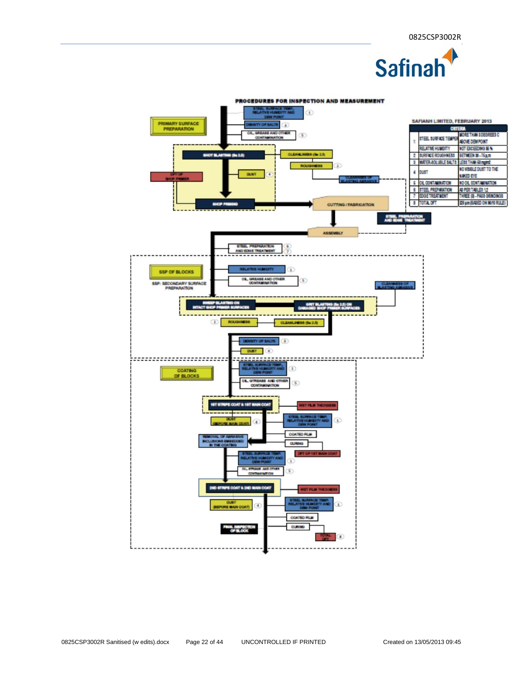

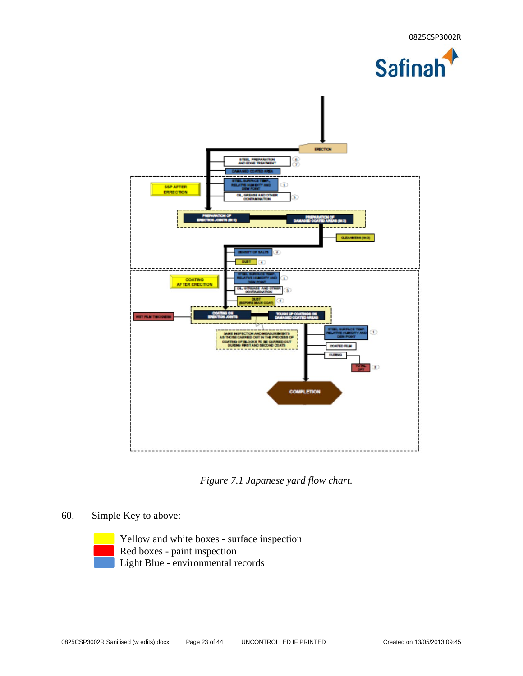

*Figure 7.1 Japanese yard flow chart.* 

- 60. Simple Key to above:
	-

 Yellow and white boxes - surface inspection Red boxes - paint inspection Light Blue - environmental records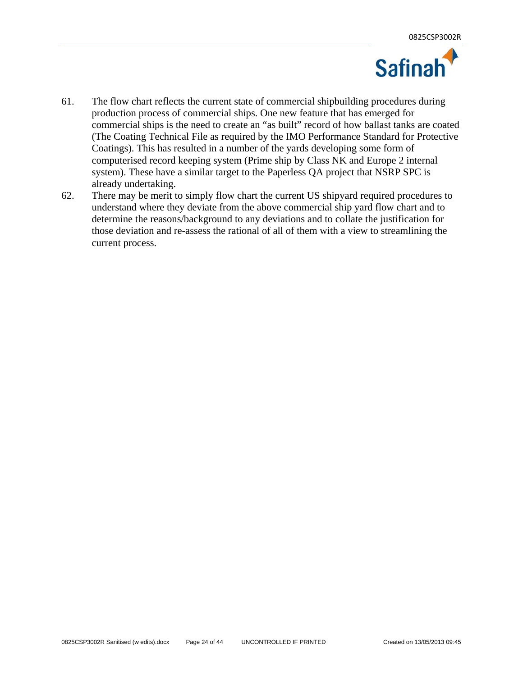

- 61. The flow chart reflects the current state of commercial shipbuilding procedures during production process of commercial ships. One new feature that has emerged for commercial ships is the need to create an "as built" record of how ballast tanks are coated (The Coating Technical File as required by the IMO Performance Standard for Protective Coatings). This has resulted in a number of the yards developing some form of computerised record keeping system (Prime ship by Class NK and Europe 2 internal system). These have a similar target to the Paperless QA project that NSRP SPC is already undertaking.
- 62. There may be merit to simply flow chart the current US shipyard required procedures to understand where they deviate from the above commercial ship yard flow chart and to determine the reasons/background to any deviations and to collate the justification for those deviation and re-assess the rational of all of them with a view to streamlining the current process.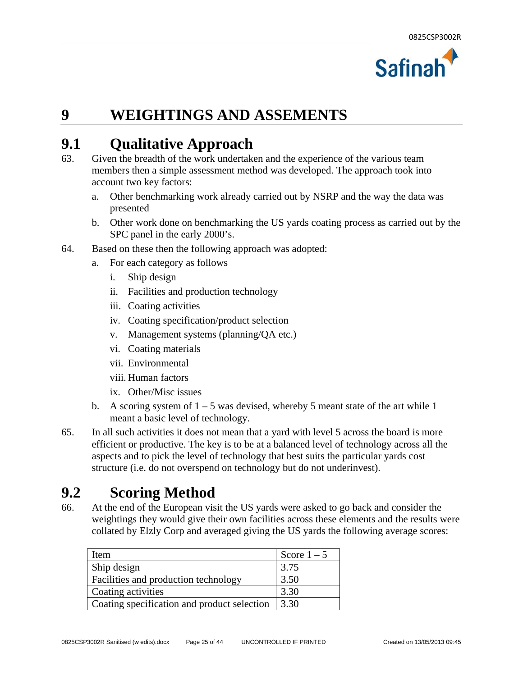

### **9 WEIGHTINGS AND ASSEMENTS**

### **9.1 Qualitative Approach**

- 63. Given the breadth of the work undertaken and the experience of the various team members then a simple assessment method was developed. The approach took into account two key factors:
	- a. Other benchmarking work already carried out by NSRP and the way the data was presented
	- b. Other work done on benchmarking the US yards coating process as carried out by the SPC panel in the early 2000's.
- 64. Based on these then the following approach was adopted:
	- a. For each category as follows
		- i. Ship design
		- ii. Facilities and production technology
		- iii. Coating activities
		- iv. Coating specification/product selection
		- v. Management systems (planning/QA etc.)
		- vi. Coating materials
		- vii. Environmental
		- viii. Human factors
		- ix. Other/Misc issues
	- b. A scoring system of  $1 5$  was devised, whereby 5 meant state of the art while 1 meant a basic level of technology.
- 65. In all such activities it does not mean that a yard with level 5 across the board is more efficient or productive. The key is to be at a balanced level of technology across all the aspects and to pick the level of technology that best suits the particular yards cost structure (i.e. do not overspend on technology but do not underinvest).

### **9.2 Scoring Method**

66. At the end of the European visit the US yards were asked to go back and consider the weightings they would give their own facilities across these elements and the results were collated by Elzly Corp and averaged giving the US yards the following average scores:

| Item                                        | Score $1-5$ |
|---------------------------------------------|-------------|
| Ship design                                 | 3.75        |
| Facilities and production technology        | 3.50        |
| Coating activities                          | 3.30        |
| Coating specification and product selection | 3.30        |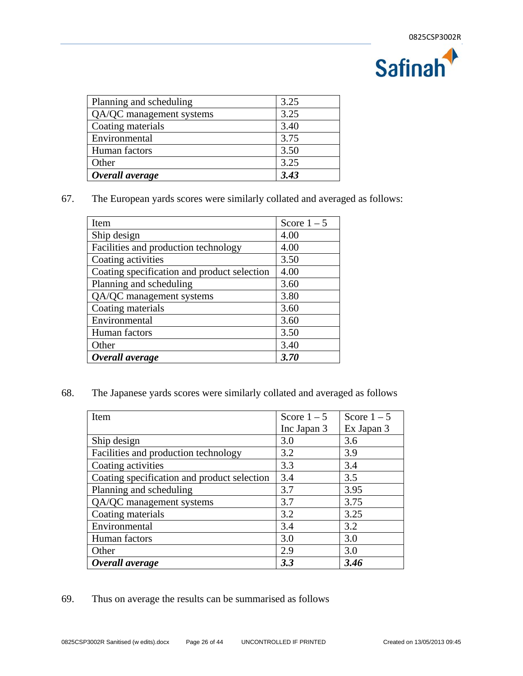

| Planning and scheduling  | 3.25 |
|--------------------------|------|
| QA/QC management systems | 3.25 |
| Coating materials        | 3.40 |
| Environmental            | 3.75 |
| Human factors            | 3.50 |
| Other                    | 3.25 |
| Overall average          | 3.43 |

67. The European yards scores were similarly collated and averaged as follows:

| Item                                        | Score $1-5$ |
|---------------------------------------------|-------------|
| Ship design                                 | 4.00        |
| Facilities and production technology        | 4.00        |
| Coating activities                          | 3.50        |
| Coating specification and product selection | 4.00        |
| Planning and scheduling                     | 3.60        |
| QA/QC management systems                    | 3.80        |
| Coating materials                           | 3.60        |
| Environmental                               | 3.60        |
| Human factors                               | 3.50        |
| Other                                       | 3.40        |
| Overall average                             | 3.70        |

68. The Japanese yards scores were similarly collated and averaged as follows

| Item                                        | Score $1-5$ | Score $1-5$ |
|---------------------------------------------|-------------|-------------|
|                                             | Inc Japan 3 | Ex Japan 3  |
| Ship design                                 | 3.0         | 3.6         |
| Facilities and production technology        | 3.2         | 3.9         |
| Coating activities                          | 3.3         | 3.4         |
| Coating specification and product selection | 3.4         | 3.5         |
| Planning and scheduling                     | 3.7         | 3.95        |
| QA/QC management systems                    | 3.7         | 3.75        |
| Coating materials                           | 3.2         | 3.25        |
| Environmental                               | 3.4         | 3.2         |
| Human factors                               | 3.0         | 3.0         |
| Other                                       | 2.9         | 3.0         |
| Overall average                             | 3.3         | 3.46        |

69. Thus on average the results can be summarised as follows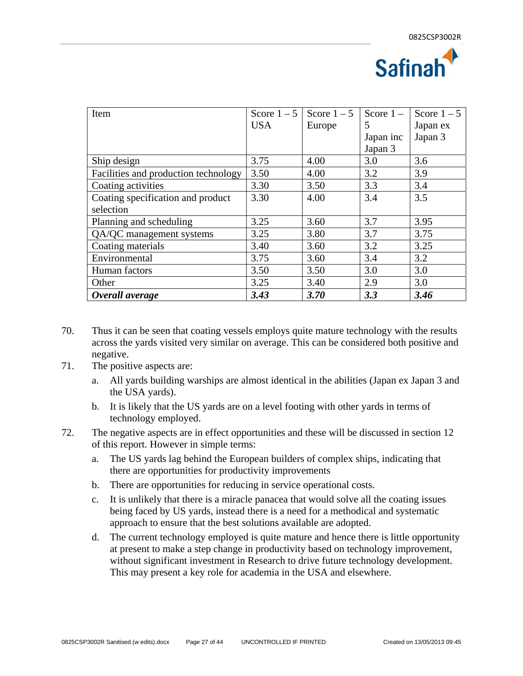

| Item                                 | Score $1-5$ | Score $1-5$ | Score $1 -$ | Score $1-5$ |
|--------------------------------------|-------------|-------------|-------------|-------------|
|                                      | <b>USA</b>  | Europe      | 5           | Japan ex    |
|                                      |             |             | Japan inc   | Japan 3     |
|                                      |             |             | Japan 3     |             |
| Ship design                          | 3.75        | 4.00        | 3.0         | 3.6         |
| Facilities and production technology | 3.50        | 4.00        | 3.2         | 3.9         |
| Coating activities                   | 3.30        | 3.50        | 3.3         | 3.4         |
| Coating specification and product    | 3.30        | 4.00        | 3.4         | 3.5         |
| selection                            |             |             |             |             |
| Planning and scheduling              | 3.25        | 3.60        | 3.7         | 3.95        |
| QA/QC management systems             | 3.25        | 3.80        | 3.7         | 3.75        |
| Coating materials                    | 3.40        | 3.60        | 3.2         | 3.25        |
| Environmental                        | 3.75        | 3.60        | 3.4         | 3.2         |
| Human factors                        | 3.50        | 3.50        | 3.0         | 3.0         |
| Other                                | 3.25        | 3.40        | 2.9         | 3.0         |
| Overall average                      | 3.43        | 3.70        | 3.3         | 3.46        |

- 70. Thus it can be seen that coating vessels employs quite mature technology with the results across the yards visited very similar on average. This can be considered both positive and negative.
- 71. The positive aspects are:
	- a. All yards building warships are almost identical in the abilities (Japan ex Japan 3 and the USA yards).
	- b. It is likely that the US yards are on a level footing with other yards in terms of technology employed.
- 72. The negative aspects are in effect opportunities and these will be discussed in section 12 of this report. However in simple terms:
	- a. The US yards lag behind the European builders of complex ships, indicating that there are opportunities for productivity improvements
	- b. There are opportunities for reducing in service operational costs.
	- c. It is unlikely that there is a miracle panacea that would solve all the coating issues being faced by US yards, instead there is a need for a methodical and systematic approach to ensure that the best solutions available are adopted.
	- d. The current technology employed is quite mature and hence there is little opportunity at present to make a step change in productivity based on technology improvement, without significant investment in Research to drive future technology development. This may present a key role for academia in the USA and elsewhere.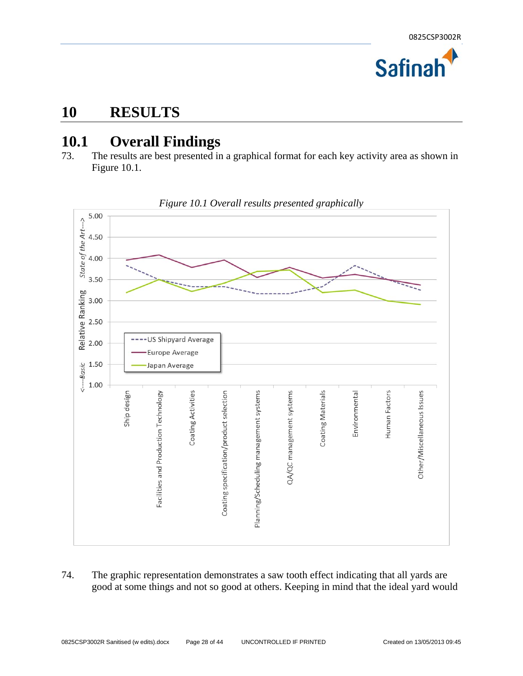

### **10 RESULTS**

### **10.1 Overall Findings**

73. The results are best presented in a graphical format for each key activity area as shown in Figure 10.1.



*Figure 10.1 Overall results presented graphically* 

74. The graphic representation demonstrates a saw tooth effect indicating that all yards are good at some things and not so good at others. Keeping in mind that the ideal yard would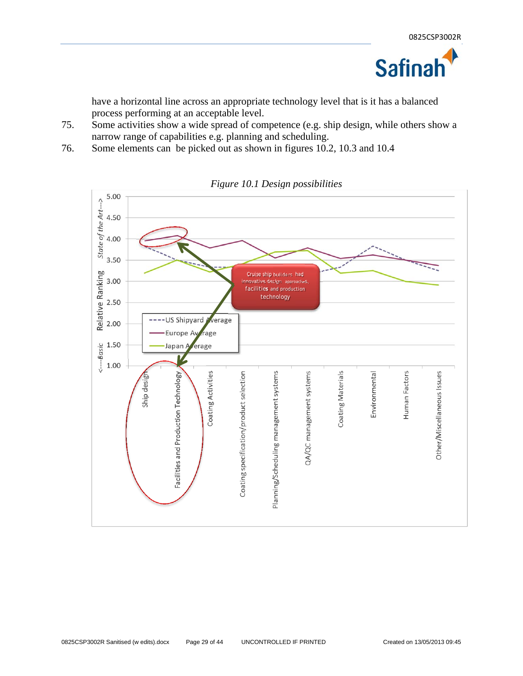

have a horizontal line across an appropriate technology level that is it has a balanced process performing at an acceptable level.

- 75. Some activities show a wide spread of competence (e.g. ship design, while others show a narrow range of capabilities e.g. planning and scheduling.
- 76. Some elements can be picked out as shown in figures 10.2, 10.3 and 10.4



*Figure 10.1 Design possibilities*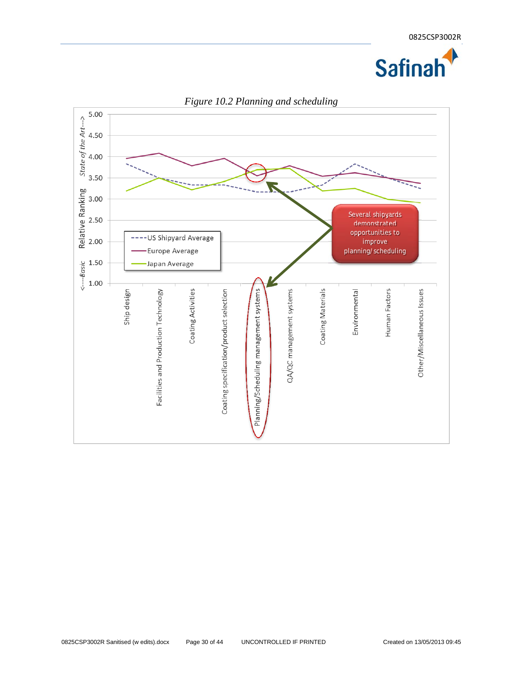



*Figure 10.2 Planning and scheduling*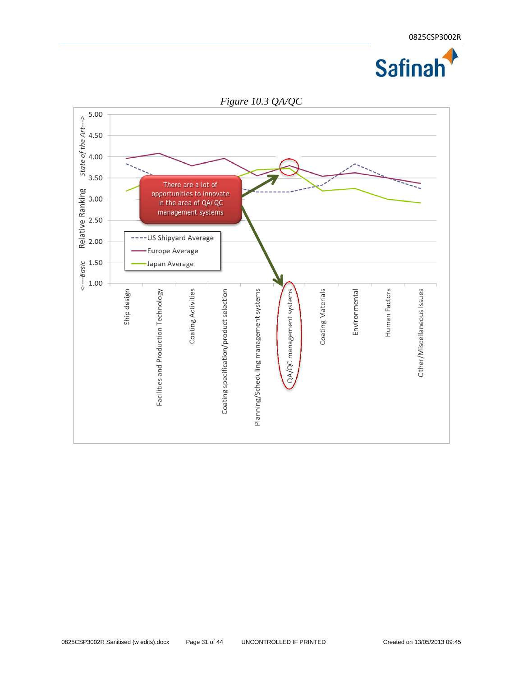

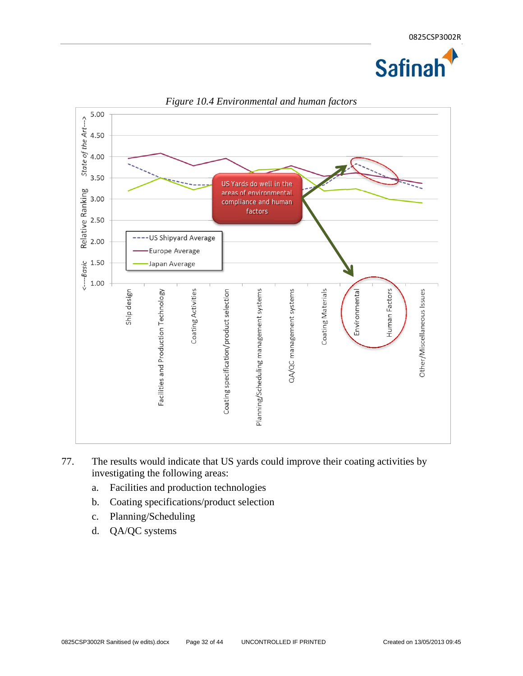



*Figure 10.4 Environmental and human factors* 

- 77. The results would indicate that US yards could improve their coating activities by investigating the following areas:
	- a. Facilities and production technologies
	- b. Coating specifications/product selection
	- c. Planning/Scheduling
	- d. QA/QC systems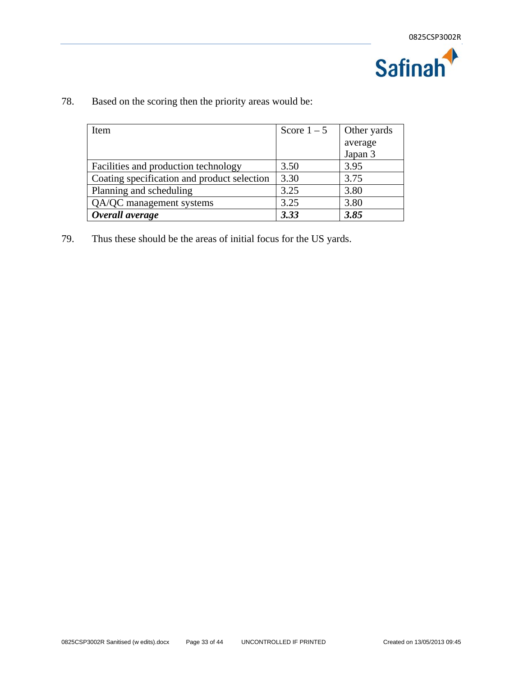

| Item                                        | Score $1-5$ | Other yards |
|---------------------------------------------|-------------|-------------|
|                                             |             | average     |
|                                             |             | Japan 3     |
| Facilities and production technology        | 3.50        | 3.95        |
| Coating specification and product selection | 3.30        | 3.75        |
| Planning and scheduling                     | 3.25        | 3.80        |
| QA/QC management systems                    | 3.25        | 3.80        |
| Overall average                             | 3.33        | 3.85        |

78. Based on the scoring then the priority areas would be:

79. Thus these should be the areas of initial focus for the US yards.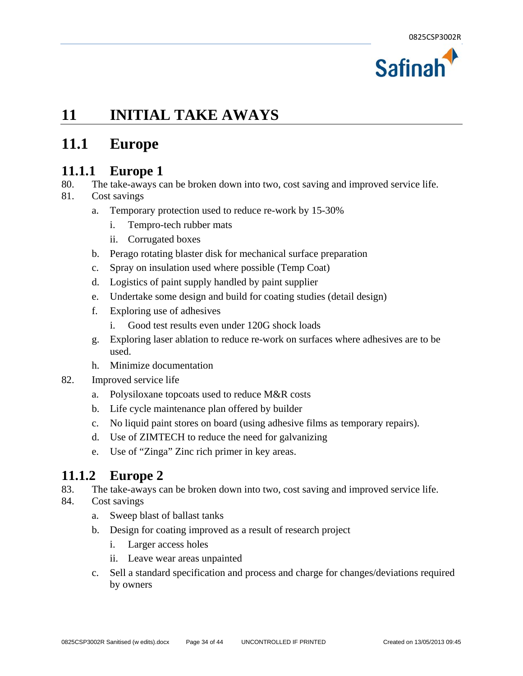

### **11 INITIAL TAKE AWAYS**

### **11.1 Europe**

#### **11.1.1 Europe 1**

- 80. The take-aways can be broken down into two, cost saving and improved service life.
- 81. Cost savings
	- a. Temporary protection used to reduce re-work by 15-30%
		- i. Tempro-tech rubber mats
		- ii. Corrugated boxes
	- b. Perago rotating blaster disk for mechanical surface preparation
	- c. Spray on insulation used where possible (Temp Coat)
	- d. Logistics of paint supply handled by paint supplier
	- e. Undertake some design and build for coating studies (detail design)
	- f. Exploring use of adhesives
		- i. Good test results even under 120G shock loads
	- g. Exploring laser ablation to reduce re-work on surfaces where adhesives are to be used.
	- h. Minimize documentation
- 82. Improved service life
	- a. Polysiloxane topcoats used to reduce M&R costs
	- b. Life cycle maintenance plan offered by builder
	- c. No liquid paint stores on board (using adhesive films as temporary repairs).
	- d. Use of ZIMTECH to reduce the need for galvanizing
	- e. Use of "Zinga" Zinc rich primer in key areas.

#### **11.1.2 Europe 2**

83. The take-aways can be broken down into two, cost saving and improved service life.

#### 84. Cost savings

- a. Sweep blast of ballast tanks
- b. Design for coating improved as a result of research project
	- i. Larger access holes
	- ii. Leave wear areas unpainted
- c. Sell a standard specification and process and charge for changes/deviations required by owners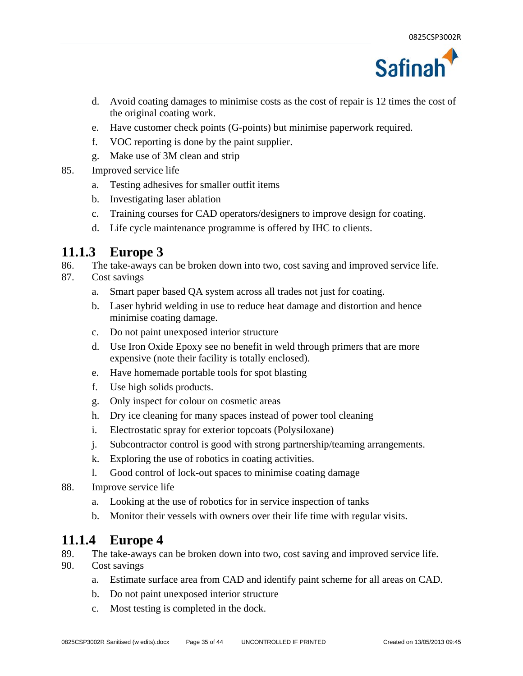

- d. Avoid coating damages to minimise costs as the cost of repair is 12 times the cost of the original coating work.
- e. Have customer check points (G-points) but minimise paperwork required.
- f. VOC reporting is done by the paint supplier.
- g. Make use of 3M clean and strip
- 85. Improved service life
	- a. Testing adhesives for smaller outfit items
	- b. Investigating laser ablation
	- c. Training courses for CAD operators/designers to improve design for coating.
	- d. Life cycle maintenance programme is offered by IHC to clients.

#### **11.1.3 Europe 3**

- 86. The take-aways can be broken down into two, cost saving and improved service life.
- 87. Cost savings
	- a. Smart paper based QA system across all trades not just for coating.
	- b. Laser hybrid welding in use to reduce heat damage and distortion and hence minimise coating damage.
	- c. Do not paint unexposed interior structure
	- d. Use Iron Oxide Epoxy see no benefit in weld through primers that are more expensive (note their facility is totally enclosed).
	- e. Have homemade portable tools for spot blasting
	- f. Use high solids products.
	- g. Only inspect for colour on cosmetic areas
	- h. Dry ice cleaning for many spaces instead of power tool cleaning
	- i. Electrostatic spray for exterior topcoats (Polysiloxane)
	- j. Subcontractor control is good with strong partnership/teaming arrangements.
	- k. Exploring the use of robotics in coating activities.
	- l. Good control of lock-out spaces to minimise coating damage
- 88. Improve service life
	- a. Looking at the use of robotics for in service inspection of tanks
	- b. Monitor their vessels with owners over their life time with regular visits.

#### **11.1.4 Europe 4**

- 89. The take-aways can be broken down into two, cost saving and improved service life.
- 90. Cost savings
	- a. Estimate surface area from CAD and identify paint scheme for all areas on CAD.
	- b. Do not paint unexposed interior structure
	- c. Most testing is completed in the dock.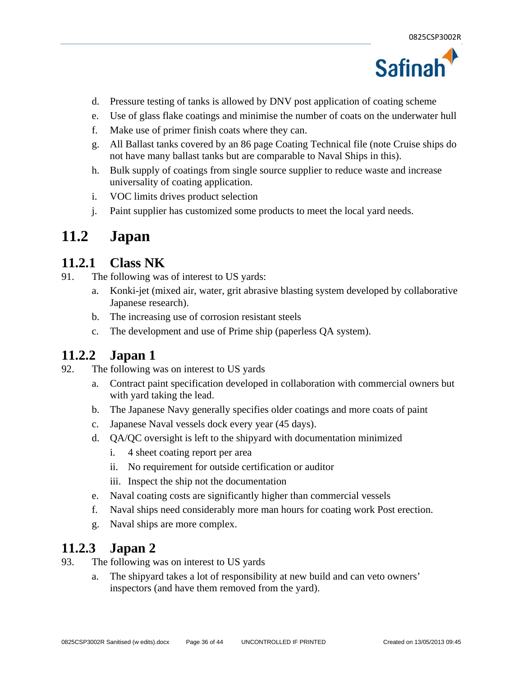

- d. Pressure testing of tanks is allowed by DNV post application of coating scheme
- e. Use of glass flake coatings and minimise the number of coats on the underwater hull
- f. Make use of primer finish coats where they can.
- g. All Ballast tanks covered by an 86 page Coating Technical file (note Cruise ships do not have many ballast tanks but are comparable to Naval Ships in this).
- h. Bulk supply of coatings from single source supplier to reduce waste and increase universality of coating application.
- i. VOC limits drives product selection
- j. Paint supplier has customized some products to meet the local yard needs.

#### **11.2 Japan**

#### **11.2.1 Class NK**

- 91. The following was of interest to US yards:
	- a. Konki-jet (mixed air, water, grit abrasive blasting system developed by collaborative Japanese research).
	- b. The increasing use of corrosion resistant steels
	- c. The development and use of Prime ship (paperless QA system).

#### **11.2.2 Japan 1**

- 92. The following was on interest to US yards
	- a. Contract paint specification developed in collaboration with commercial owners but with yard taking the lead.
	- b. The Japanese Navy generally specifies older coatings and more coats of paint
	- c. Japanese Naval vessels dock every year (45 days).
	- d. QA/QC oversight is left to the shipyard with documentation minimized
		- i. 4 sheet coating report per area
		- ii. No requirement for outside certification or auditor
		- iii. Inspect the ship not the documentation
	- e. Naval coating costs are significantly higher than commercial vessels
	- f. Naval ships need considerably more man hours for coating work Post erection.
	- g. Naval ships are more complex.

#### **11.2.3 Japan 2**

- 93. The following was on interest to US yards
	- a. The shipyard takes a lot of responsibility at new build and can veto owners' inspectors (and have them removed from the yard).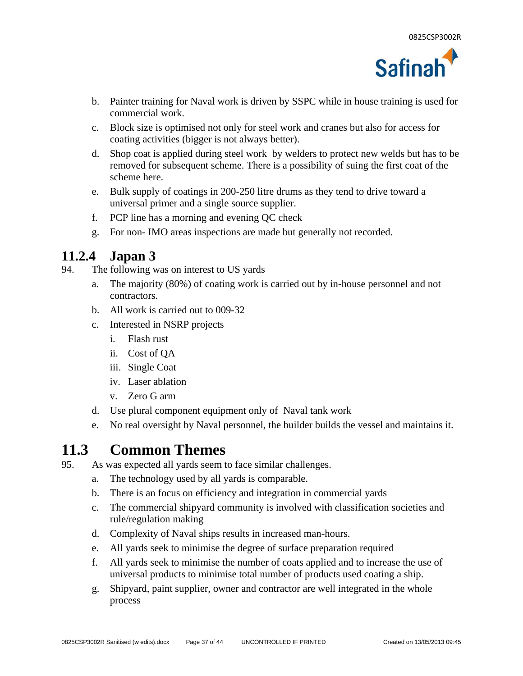

- b. Painter training for Naval work is driven by SSPC while in house training is used for commercial work.
- c. Block size is optimised not only for steel work and cranes but also for access for coating activities (bigger is not always better).
- d. Shop coat is applied during steel work by welders to protect new welds but has to be removed for subsequent scheme. There is a possibility of suing the first coat of the scheme here.
- e. Bulk supply of coatings in 200-250 litre drums as they tend to drive toward a universal primer and a single source supplier.
- f. PCP line has a morning and evening QC check
- g. For non- IMO areas inspections are made but generally not recorded.

#### **11.2.4 Japan 3**

- 94. The following was on interest to US yards
	- a. The majority (80%) of coating work is carried out by in-house personnel and not contractors.
	- b. All work is carried out to 009-32
	- c. Interested in NSRP projects
		- i. Flash rust
		- ii. Cost of QA
		- iii. Single Coat
		- iv. Laser ablation
		- v. Zero G arm
	- d. Use plural component equipment only of Naval tank work
	- e. No real oversight by Naval personnel, the builder builds the vessel and maintains it.

#### **11.3 Common Themes**

- 95. As was expected all yards seem to face similar challenges.
	- a. The technology used by all yards is comparable.
	- b. There is an focus on efficiency and integration in commercial yards
	- c. The commercial shipyard community is involved with classification societies and rule/regulation making
	- d. Complexity of Naval ships results in increased man-hours.
	- e. All yards seek to minimise the degree of surface preparation required
	- f. All yards seek to minimise the number of coats applied and to increase the use of universal products to minimise total number of products used coating a ship.
	- g. Shipyard, paint supplier, owner and contractor are well integrated in the whole process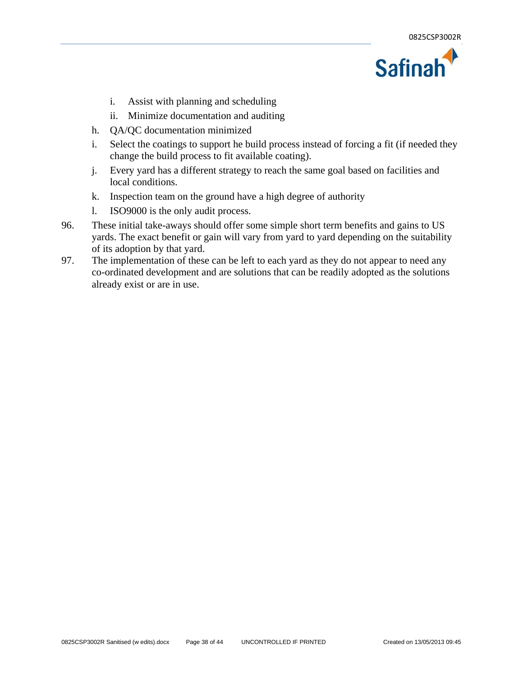

- i. Assist with planning and scheduling
- ii. Minimize documentation and auditing
- h. QA/QC documentation minimized
- i. Select the coatings to support he build process instead of forcing a fit (if needed they change the build process to fit available coating).
- j. Every yard has a different strategy to reach the same goal based on facilities and local conditions.
- k. Inspection team on the ground have a high degree of authority
- l. ISO9000 is the only audit process.
- 96. These initial take-aways should offer some simple short term benefits and gains to US yards. The exact benefit or gain will vary from yard to yard depending on the suitability of its adoption by that yard.
- 97. The implementation of these can be left to each yard as they do not appear to need any co-ordinated development and are solutions that can be readily adopted as the solutions already exist or are in use.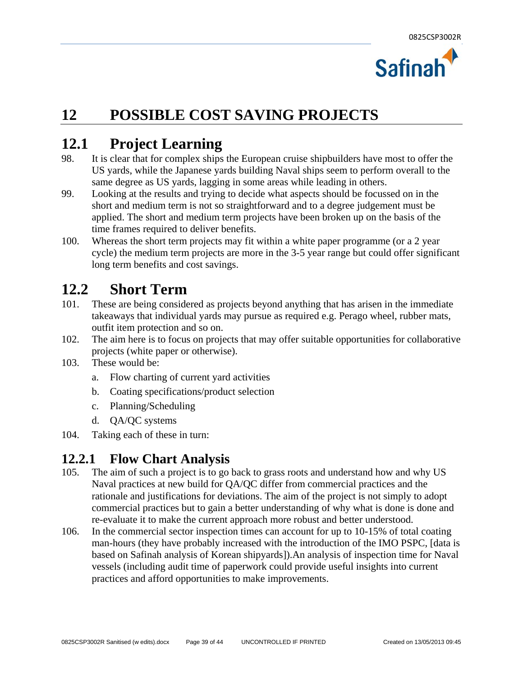

### **12 POSSIBLE COST SAVING PROJECTS**

#### **12.1 Project Learning**

- 98. It is clear that for complex ships the European cruise shipbuilders have most to offer the US yards, while the Japanese yards building Naval ships seem to perform overall to the same degree as US yards, lagging in some areas while leading in others.
- 99. Looking at the results and trying to decide what aspects should be focussed on in the short and medium term is not so straightforward and to a degree judgement must be applied. The short and medium term projects have been broken up on the basis of the time frames required to deliver benefits.
- 100. Whereas the short term projects may fit within a white paper programme (or a 2 year cycle) the medium term projects are more in the 3-5 year range but could offer significant long term benefits and cost savings.

### **12.2 Short Term**

- 101. These are being considered as projects beyond anything that has arisen in the immediate takeaways that individual yards may pursue as required e.g. Perago wheel, rubber mats, outfit item protection and so on.
- 102. The aim here is to focus on projects that may offer suitable opportunities for collaborative projects (white paper or otherwise).
- 103. These would be:
	- a. Flow charting of current yard activities
	- b. Coating specifications/product selection
	- c. Planning/Scheduling
	- d. QA/QC systems
- 104. Taking each of these in turn:

#### **12.2.1 Flow Chart Analysis**

- 105. The aim of such a project is to go back to grass roots and understand how and why US Naval practices at new build for QA/QC differ from commercial practices and the rationale and justifications for deviations. The aim of the project is not simply to adopt commercial practices but to gain a better understanding of why what is done is done and re-evaluate it to make the current approach more robust and better understood.
- 106. In the commercial sector inspection times can account for up to 10-15% of total coating man-hours (they have probably increased with the introduction of the IMO PSPC, [data is based on Safinah analysis of Korean shipyards]).An analysis of inspection time for Naval vessels (including audit time of paperwork could provide useful insights into current practices and afford opportunities to make improvements.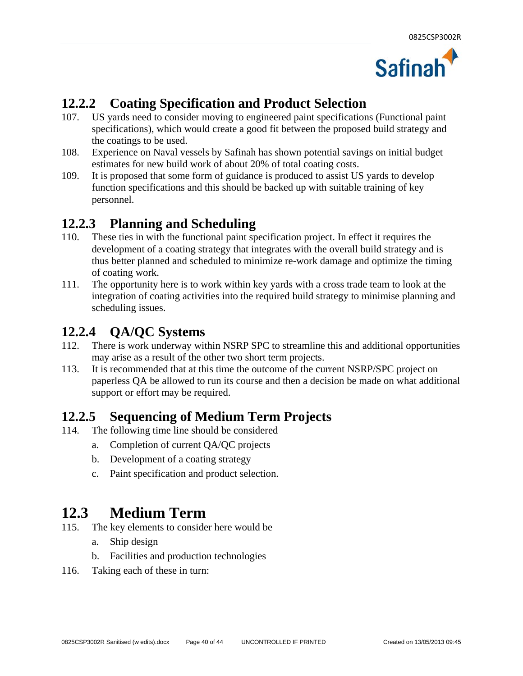

#### **12.2.2 Coating Specification and Product Selection**

- 107. US yards need to consider moving to engineered paint specifications (Functional paint specifications), which would create a good fit between the proposed build strategy and the coatings to be used.
- 108. Experience on Naval vessels by Safinah has shown potential savings on initial budget estimates for new build work of about 20% of total coating costs.
- 109. It is proposed that some form of guidance is produced to assist US yards to develop function specifications and this should be backed up with suitable training of key personnel.

#### **12.2.3 Planning and Scheduling**

- 110. These ties in with the functional paint specification project. In effect it requires the development of a coating strategy that integrates with the overall build strategy and is thus better planned and scheduled to minimize re-work damage and optimize the timing of coating work.
- 111. The opportunity here is to work within key yards with a cross trade team to look at the integration of coating activities into the required build strategy to minimise planning and scheduling issues.

#### **12.2.4 QA/QC Systems**

- 112. There is work underway within NSRP SPC to streamline this and additional opportunities may arise as a result of the other two short term projects.
- 113. It is recommended that at this time the outcome of the current NSRP/SPC project on paperless QA be allowed to run its course and then a decision be made on what additional support or effort may be required.

#### **12.2.5 Sequencing of Medium Term Projects**

- 114. The following time line should be considered
	- a. Completion of current QA/QC projects
	- b. Development of a coating strategy
	- c. Paint specification and product selection.

### **12.3 Medium Term**

- 115. The key elements to consider here would be
	- a. Ship design
	- b. Facilities and production technologies
- 116. Taking each of these in turn: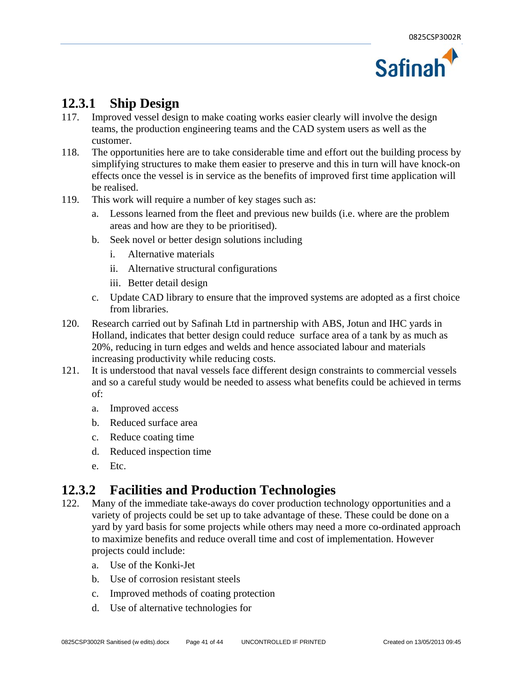

#### **12.3.1 Ship Design**

- 117. Improved vessel design to make coating works easier clearly will involve the design teams, the production engineering teams and the CAD system users as well as the customer.
- 118. The opportunities here are to take considerable time and effort out the building process by simplifying structures to make them easier to preserve and this in turn will have knock-on effects once the vessel is in service as the benefits of improved first time application will be realised.
- 119. This work will require a number of key stages such as:
	- a. Lessons learned from the fleet and previous new builds (i.e. where are the problem areas and how are they to be prioritised).
	- b. Seek novel or better design solutions including
		- i. Alternative materials
		- ii. Alternative structural configurations
		- iii. Better detail design
	- c. Update CAD library to ensure that the improved systems are adopted as a first choice from libraries.
- 120. Research carried out by Safinah Ltd in partnership with ABS, Jotun and IHC yards in Holland, indicates that better design could reduce surface area of a tank by as much as 20%, reducing in turn edges and welds and hence associated labour and materials increasing productivity while reducing costs.
- 121. It is understood that naval vessels face different design constraints to commercial vessels and so a careful study would be needed to assess what benefits could be achieved in terms of:
	- a. Improved access
	- b. Reduced surface area
	- c. Reduce coating time
	- d. Reduced inspection time
	- e. Etc.

#### **12.3.2 Facilities and Production Technologies**

- 122. Many of the immediate take-aways do cover production technology opportunities and a variety of projects could be set up to take advantage of these. These could be done on a yard by yard basis for some projects while others may need a more co-ordinated approach to maximize benefits and reduce overall time and cost of implementation. However projects could include:
	- a. Use of the Konki-Jet
	- b. Use of corrosion resistant steels
	- c. Improved methods of coating protection
	- d. Use of alternative technologies for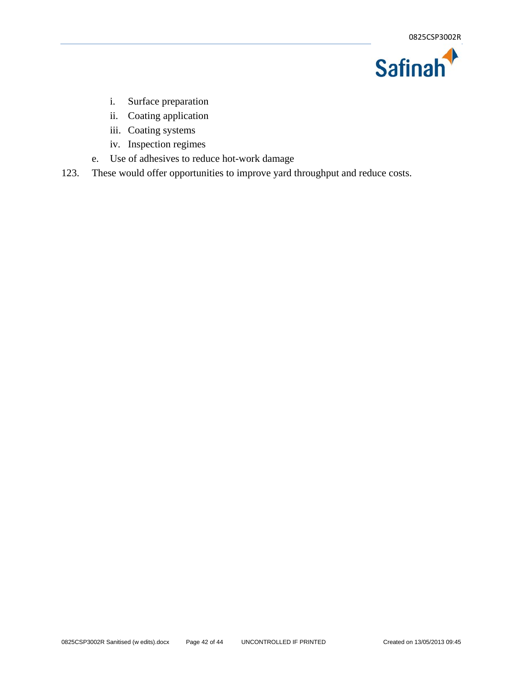

- i. Surface preparation
- ii. Coating application
- iii. Coating systems
- iv. Inspection regimes
- e. Use of adhesives to reduce hot-work damage
- 123. These would offer opportunities to improve yard throughput and reduce costs.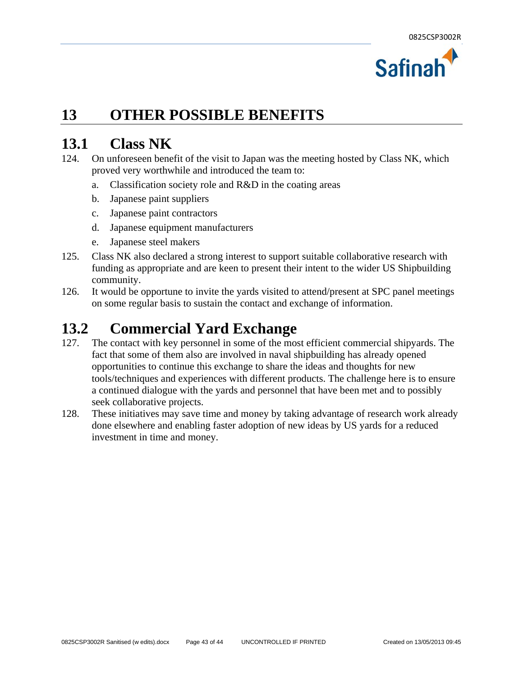

### **13 OTHER POSSIBLE BENEFITS**

#### **13.1 Class NK**

- 124. On unforeseen benefit of the visit to Japan was the meeting hosted by Class NK, which proved very worthwhile and introduced the team to:
	- a. Classification society role and R&D in the coating areas
	- b. Japanese paint suppliers
	- c. Japanese paint contractors
	- d. Japanese equipment manufacturers
	- e. Japanese steel makers
- 125. Class NK also declared a strong interest to support suitable collaborative research with funding as appropriate and are keen to present their intent to the wider US Shipbuilding community.
- 126. It would be opportune to invite the yards visited to attend/present at SPC panel meetings on some regular basis to sustain the contact and exchange of information.

### **13.2 Commercial Yard Exchange**

- 127. The contact with key personnel in some of the most efficient commercial shipyards. The fact that some of them also are involved in naval shipbuilding has already opened opportunities to continue this exchange to share the ideas and thoughts for new tools/techniques and experiences with different products. The challenge here is to ensure a continued dialogue with the yards and personnel that have been met and to possibly seek collaborative projects.
- 128. These initiatives may save time and money by taking advantage of research work already done elsewhere and enabling faster adoption of new ideas by US yards for a reduced investment in time and money.